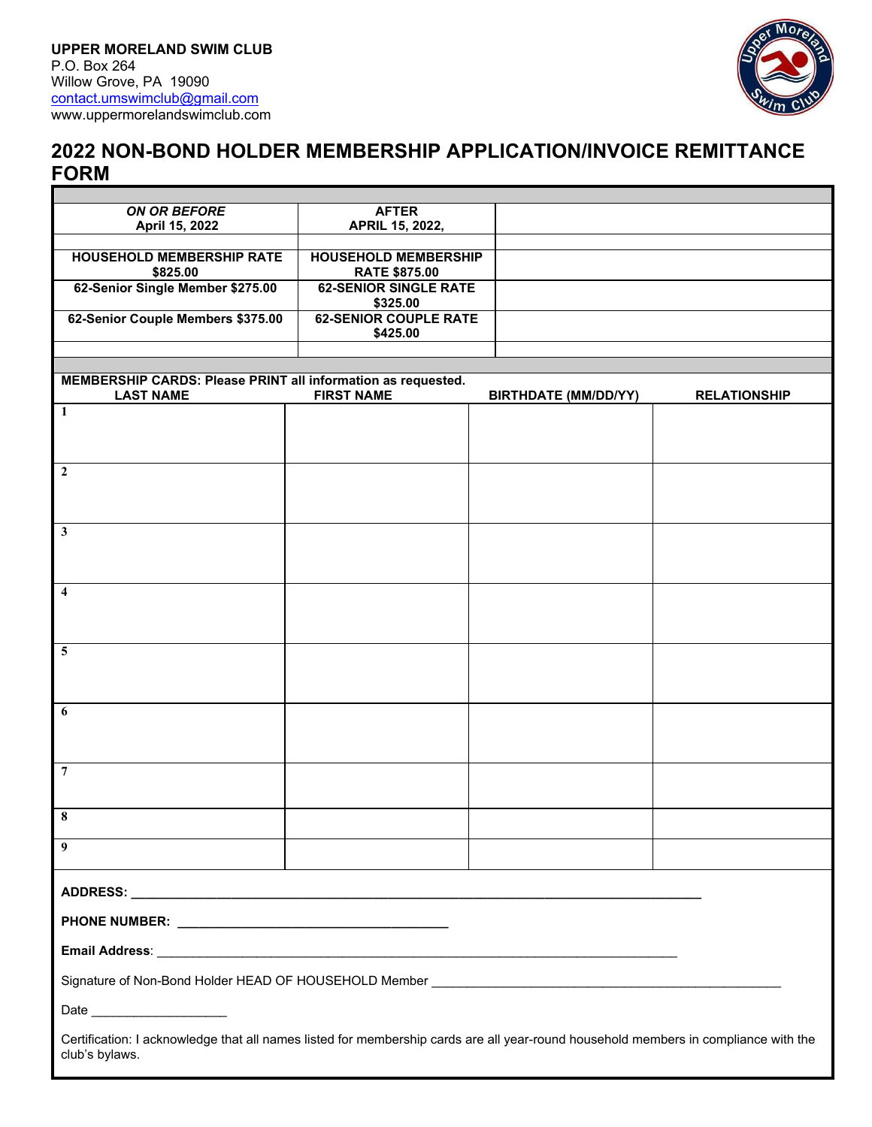

## **2022 NON-BOND HOLDER MEMBERSHIP APPLICATION/INVOICE REMITTANCE FORM**

| <b>ON OR BEFORE</b><br>April 15, 2022                                                                                                                 | <b>AFTER</b><br>APRIL 15, 2022,                     |  |                             |                     |
|-------------------------------------------------------------------------------------------------------------------------------------------------------|-----------------------------------------------------|--|-----------------------------|---------------------|
|                                                                                                                                                       |                                                     |  |                             |                     |
| <b>HOUSEHOLD MEMBERSHIP RATE</b><br>\$825.00                                                                                                          | <b>HOUSEHOLD MEMBERSHIP</b><br><b>RATE \$875.00</b> |  |                             |                     |
| 62-Senior Single Member \$275.00                                                                                                                      | <b>62-SENIOR SINGLE RATE</b><br>\$325.00            |  |                             |                     |
| 62-Senior Couple Members \$375.00                                                                                                                     | <b>62-SENIOR COUPLE RATE</b><br>\$425.00            |  |                             |                     |
|                                                                                                                                                       |                                                     |  |                             |                     |
|                                                                                                                                                       |                                                     |  |                             |                     |
| MEMBERSHIP CARDS: Please PRINT all information as requested.                                                                                          |                                                     |  |                             |                     |
| <b>LAST NAME</b>                                                                                                                                      | <b>FIRST NAME</b>                                   |  | <b>BIRTHDATE (MM/DD/YY)</b> | <b>RELATIONSHIP</b> |
| $\mathbf{1}$                                                                                                                                          |                                                     |  |                             |                     |
|                                                                                                                                                       |                                                     |  |                             |                     |
| $\overline{2}$                                                                                                                                        |                                                     |  |                             |                     |
|                                                                                                                                                       |                                                     |  |                             |                     |
|                                                                                                                                                       |                                                     |  |                             |                     |
| $\mathbf{3}$                                                                                                                                          |                                                     |  |                             |                     |
|                                                                                                                                                       |                                                     |  |                             |                     |
| $\overline{4}$                                                                                                                                        |                                                     |  |                             |                     |
|                                                                                                                                                       |                                                     |  |                             |                     |
|                                                                                                                                                       |                                                     |  |                             |                     |
| $\overline{5}$                                                                                                                                        |                                                     |  |                             |                     |
|                                                                                                                                                       |                                                     |  |                             |                     |
|                                                                                                                                                       |                                                     |  |                             |                     |
| 6                                                                                                                                                     |                                                     |  |                             |                     |
|                                                                                                                                                       |                                                     |  |                             |                     |
|                                                                                                                                                       |                                                     |  |                             |                     |
| $\overline{7}$                                                                                                                                        |                                                     |  |                             |                     |
|                                                                                                                                                       |                                                     |  |                             |                     |
| 8                                                                                                                                                     |                                                     |  |                             |                     |
|                                                                                                                                                       |                                                     |  |                             |                     |
| $\boldsymbol{9}$                                                                                                                                      |                                                     |  |                             |                     |
|                                                                                                                                                       |                                                     |  |                             |                     |
|                                                                                                                                                       |                                                     |  |                             |                     |
|                                                                                                                                                       |                                                     |  |                             |                     |
|                                                                                                                                                       |                                                     |  |                             |                     |
| Date _________________________                                                                                                                        |                                                     |  |                             |                     |
| Certification: I acknowledge that all names listed for membership cards are all year-round household members in compliance with the<br>club's bylaws. |                                                     |  |                             |                     |